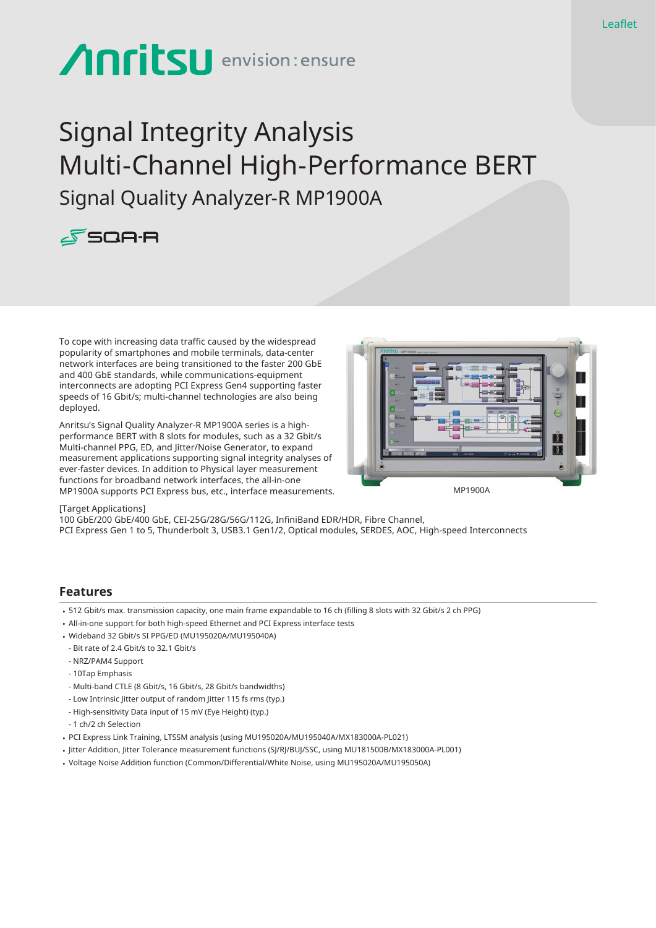# **Anritsu** envision: ensure

## Signal Integrity Analysis Multi-Channel High-Performance BERT Signal Quality Analyzer-R MP1900A



To cope with increasing data traffic caused by the widespread popularity of smartphones and mobile terminals, data-center network interfaces are being transitioned to the faster 200 GbE and 400 GbE standards, while communications-equipment interconnects are adopting PCI Express Gen4 supporting faster speeds of 16 Gbit/s; multi-channel technologies are also being deployed.

Anritsu's Signal Quality Analyzer-R MP1900A series is a highperformance BERT with 8 slots for modules, such as a 32 Gbit/s Multi-channel PPG, ED, and Jitter/Noise Generator, to expand measurement applications supporting signal integrity analyses of ever-faster devices. In addition to Physical layer measurement functions for broadband network interfaces, the all-in-one MP1900A supports PCI Express bus, etc., interface measurements.



#### [Target Applications]

100 GbE/200 GbE/400 GbE, CEI-25G/28G/56G/112G, InfiniBand EDR/HDR, Fibre Channel, PCI Express Gen 1 to 5, Thunderbolt 3, USB3.1 Gen1/2, Optical modules, SERDES, AOC, High-speed Interconnects

#### **Features**

- • 512 Gbit/s max. transmission capacity, one main frame expandable to 16 ch (filling 8 slots with 32 Gbit/s 2 ch PPG)
- All-in-one support for both high-speed Ethernet and PCI Express interface tests
- • Wideband 32 Gbit/s SI PPG/ED (MU195020A/MU195040A)
- Bit rate of 2.4 Gbit/s to 32.1 Gbit/s
- NRZ/PAM4 Support
- 10Tap Emphasis
- Multi-band CTLE (8 Gbit/s, 16 Gbit/s, 28 Gbit/s bandwidths)
- Low Intrinsic Jitter output of random Jitter 115 fs rms (typ.)
- High-sensitivity Data input of 15 mV (Eye Height) (typ.)
- 1 ch/2 ch Selection
- • PCI Express Link Training, LTSSM analysis (using MU195020A/MU195040A/MX183000A-PL021)
- • Jitter Addition, Jitter Tolerance measurement functions (SJ/RJ/BUJ/SSC, using MU181500B/MX183000A-PL001)
- • Voltage Noise Addition function (Common/Differential/White Noise, using MU195020A/MU195050A)